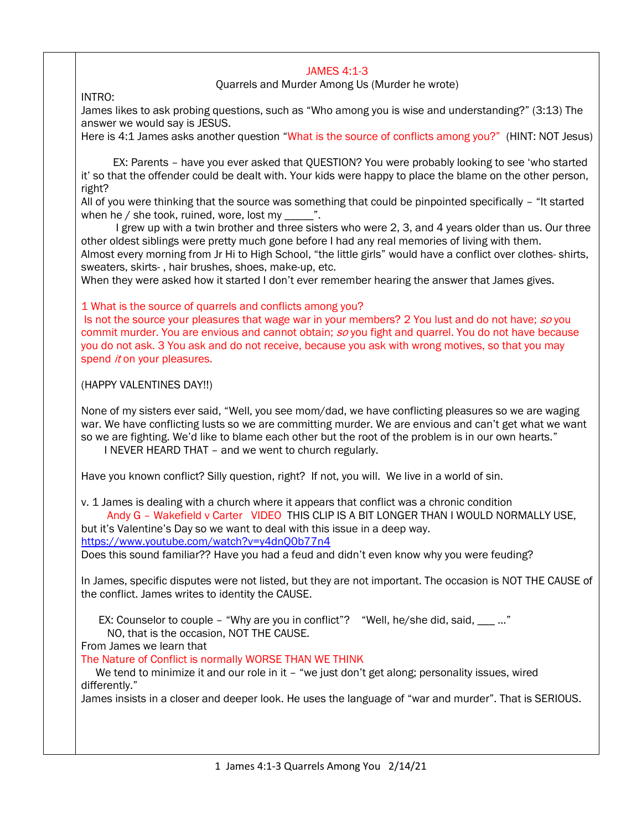## JAMES 4:1-3

Quarrels and Murder Among Us (Murder he wrote)

INTRO:

James likes to ask probing questions, such as "Who among you is wise and understanding?" (3:13) The answer we would say is JESUS.

Here is 4:1 James asks another question "What is the source of conflicts among you?" (HINT: NOT Jesus)

 EX: Parents – have you ever asked that QUESTION? You were probably looking to see 'who started it' so that the offender could be dealt with. Your kids were happy to place the blame on the other person, right?

All of you were thinking that the source was something that could be pinpointed specifically – "It started when he  $/$  she took, ruined, wore, lost my  $\ldots$  ".

I grew up with a twin brother and three sisters who were 2, 3, and 4 years older than us. Our three other oldest siblings were pretty much gone before I had any real memories of living with them. Almost every morning from Jr Hi to High School, "the little girls" would have a conflict over clothes- shirts, sweaters, skirts- , hair brushes, shoes, make-up, etc.

When they were asked how it started I don't ever remember hearing the answer that James gives.

1 What is the source of quarrels and conflicts among you?

Is not the source your pleasures that wage war in your members? 2 You lust and do not have; so you commit murder. You are envious and cannot obtain; so you fight and quarrel. You do not have because you do not ask. 3 You ask and do not receive, because you ask with wrong motives, so that you may spend *it* on your pleasures.

(HAPPY VALENTINES DAY!!)

None of my sisters ever said, "Well, you see mom/dad, we have conflicting pleasures so we are waging war. We have conflicting lusts so we are committing murder. We are envious and can't get what we want so we are fighting. We'd like to blame each other but the root of the problem is in our own hearts."

I NEVER HEARD THAT – and we went to church regularly.

Have you known conflict? Silly question, right? If not, you will. We live in a world of sin.

v. 1 James is dealing with a church where it appears that conflict was a chronic condition Andy G – Wakefield v Carter VIDEO THIS CLIP IS A BIT LONGER THAN I WOULD NORMALLY USE,

but it's Valentine's Day so we want to deal with this issue in a deep way.

<https://www.youtube.com/watch?v=y4dnQ0b77n4>

Does this sound familiar?? Have you had a feud and didn't even know why you were feuding?

In James, specific disputes were not listed, but they are not important. The occasion is NOT THE CAUSE of the conflict. James writes to identity the CAUSE.

EX: Counselor to couple – "Why are you in conflict"? "Well, he/she did, said,  $\frac{1}{2}$  ..."

NO, that is the occasion, NOT THE CAUSE.

From James we learn that

The Nature of Conflict is normally WORSE THAN WE THINK

We tend to minimize it and our role in it – "we just don't get along; personality issues, wired differently."

James insists in a closer and deeper look. He uses the language of "war and murder". That is SERIOUS.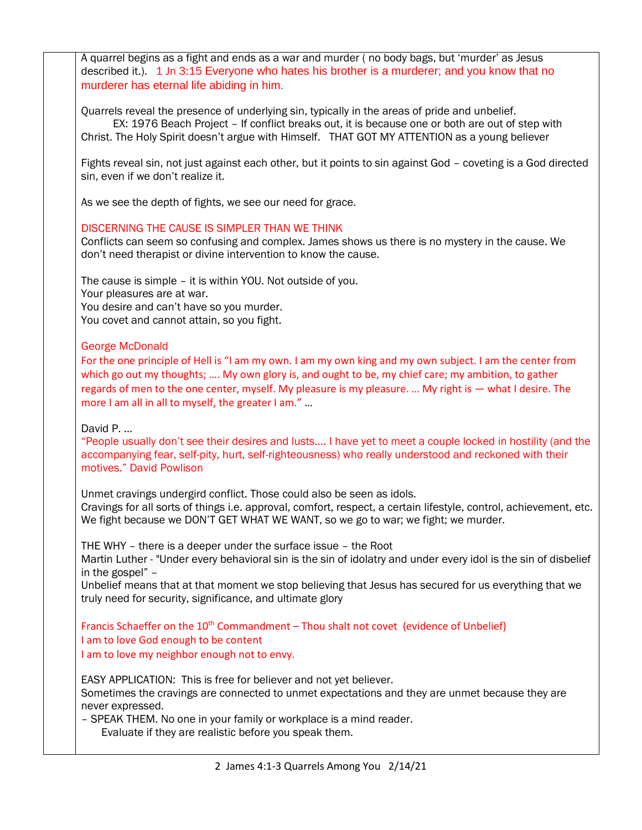A quarrel begins as a fight and ends as a war and murder ( no body bags, but 'murder' as Jesus described it.). 1 Jn 3:15 Everyone who hates his brother is a murderer; and you know that no murderer has eternal life abiding in him. Quarrels reveal the presence of underlying sin, typically in the areas of pride and unbelief. EX: 1976 Beach Project – If conflict breaks out, it is because one or both are out of step with Christ. The Holy Spirit doesn't argue with Himself. THAT GOT MY ATTENTION as a young believer Fights reveal sin, not just against each other, but it points to sin against God – coveting is a God directed sin, even if we don't realize it. As we see the depth of fights, we see our need for grace. DISCERNING THE CAUSE IS SIMPLER THAN WE THINK Conflicts can seem so confusing and complex. James shows us there is no mystery in the cause. We don't need therapist or divine intervention to know the cause. The cause is simple – it is within YOU. Not outside of you. Your pleasures are at war. You desire and can't have so you murder. You covet and cannot attain, so you fight. George McDonald For the one principle of Hell is "I am my own. I am my own king and my own subject. I am the center from which go out my thoughts; .... My own glory is, and ought to be, my chief care; my ambition, to gather regards of men to the one center, myself. My pleasure is my pleasure. … My right is — what I desire. The more I am all in all to myself, the greater I am." … David P. … "People usually don't see their desires and lusts…. I have yet to meet a couple locked in hostility (and the accompanying fear, self-pity, hurt, self-righteousness) who really understood and reckoned with their motives." David Powlison Unmet cravings undergird conflict. Those could also be seen as idols. Cravings for all sorts of things i.e. approval, comfort, respect, a certain lifestyle, control, achievement, etc. We fight because we DON'T GET WHAT WE WANT, so we go to war; we fight; we murder. THE WHY – there is a deeper under the surface issue – the Root Martin Luther - "Under every behavioral sin is the sin of idolatry and under every idol is the sin of disbelief in the gospel" – Unbelief means that at that moment we stop believing that Jesus has secured for us everything that we truly need for security, significance, and ultimate glory Francis Schaeffer on the  $10^{th}$  Commandment – Thou shalt not covet (evidence of Unbelief) I am to love God enough to be content I am to love my neighbor enough not to envy. EASY APPLICATION: This is free for believer and not yet believer. Sometimes the cravings are connected to unmet expectations and they are unmet because they are never expressed. – SPEAK THEM. No one in your family or workplace is a mind reader. Evaluate if they are realistic before you speak them.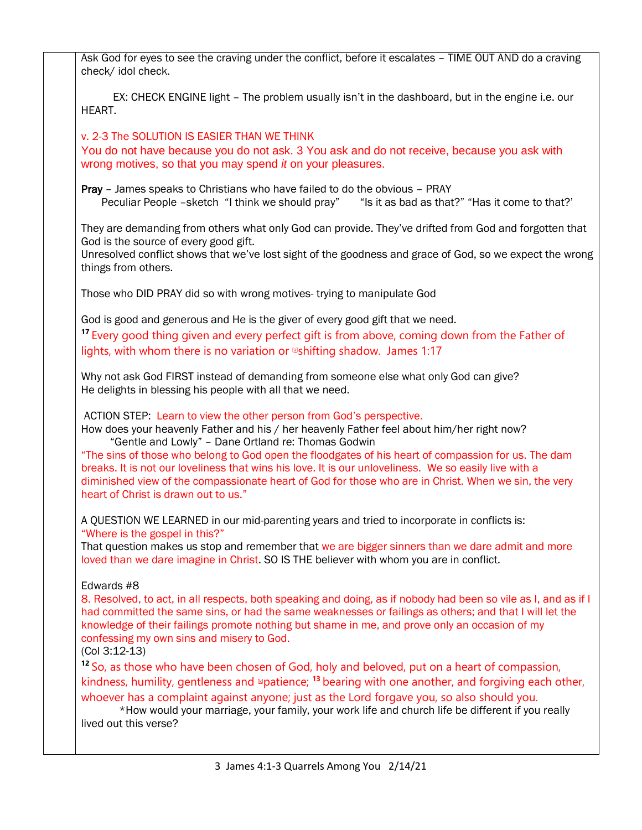| Ask God for eyes to see the craving under the conflict, before it escalates - TIME OUT AND do a craving<br>check/ idol check.                                                                                                                                                                                                                                                                                                                                                                                                                                                           |
|-----------------------------------------------------------------------------------------------------------------------------------------------------------------------------------------------------------------------------------------------------------------------------------------------------------------------------------------------------------------------------------------------------------------------------------------------------------------------------------------------------------------------------------------------------------------------------------------|
| EX: CHECK ENGINE light - The problem usually isn't in the dashboard, but in the engine i.e. our<br>HEART.                                                                                                                                                                                                                                                                                                                                                                                                                                                                               |
| v. 2-3 The SOLUTION IS EASIER THAN WE THINK<br>You do not have because you do not ask. 3 You ask and do not receive, because you ask with<br>wrong motives, so that you may spend it on your pleasures.                                                                                                                                                                                                                                                                                                                                                                                 |
| Pray - James speaks to Christians who have failed to do the obvious - PRAY<br>Peculiar People -sketch "I think we should pray" "Is it as bad as that?" "Has it come to that?"                                                                                                                                                                                                                                                                                                                                                                                                           |
| They are demanding from others what only God can provide. They've drifted from God and forgotten that<br>God is the source of every good gift.<br>Unresolved conflict shows that we've lost sight of the goodness and grace of God, so we expect the wrong<br>things from others.                                                                                                                                                                                                                                                                                                       |
| Those who DID PRAY did so with wrong motives-trying to manipulate God                                                                                                                                                                                                                                                                                                                                                                                                                                                                                                                   |
| God is good and generous and He is the giver of every good gift that we need.<br><sup>17</sup> Every good thing given and every perfect gift is from above, coming down from the Father of<br>lights, with whom there is no variation or <b>larger</b> shadow. James 1:17                                                                                                                                                                                                                                                                                                               |
| Why not ask God FIRST instead of demanding from someone else what only God can give?<br>He delights in blessing his people with all that we need.                                                                                                                                                                                                                                                                                                                                                                                                                                       |
| ACTION STEP: Learn to view the other person from God's perspective.<br>How does your heavenly Father and his / her heavenly Father feel about him/her right now?<br>"Gentle and Lowly" - Dane Ortland re: Thomas Godwin<br>"The sins of those who belong to God open the floodgates of his heart of compassion for us. The dam<br>breaks. It is not our loveliness that wins his love. It is our unloveliness. We so easily live with a<br>diminished view of the compassionate heart of God for those who are in Christ. When we sin, the very<br>heart of Christ is drawn out to us." |
| A QUESTION WE LEARNED in our mid-parenting years and tried to incorporate in conflicts is:<br>"Where is the gospel in this?"                                                                                                                                                                                                                                                                                                                                                                                                                                                            |
| That question makes us stop and remember that we are bigger sinners than we dare admit and more<br>loved than we dare imagine in Christ. SO IS THE believer with whom you are in conflict.                                                                                                                                                                                                                                                                                                                                                                                              |
| Edwards #8<br>8. Resolved, to act, in all respects, both speaking and doing, as if nobody had been so vile as I, and as if I<br>had committed the same sins, or had the same weaknesses or failings as others; and that I will let the<br>knowledge of their failings promote nothing but shame in me, and prove only an occasion of my<br>confessing my own sins and misery to God.<br>$(Col 3:12-13)$                                                                                                                                                                                 |
| <sup>12</sup> So, as those who have been chosen of God, holy and beloved, put on a heart of compassion,<br>kindness, humility, gentleness and $\triangle$ patience; <sup>13</sup> bearing with one another, and forgiving each other,<br>whoever has a complaint against anyone; just as the Lord forgave you, so also should you.                                                                                                                                                                                                                                                      |
| *How would your marriage, your family, your work life and church life be different if you really<br>lived out this verse?                                                                                                                                                                                                                                                                                                                                                                                                                                                               |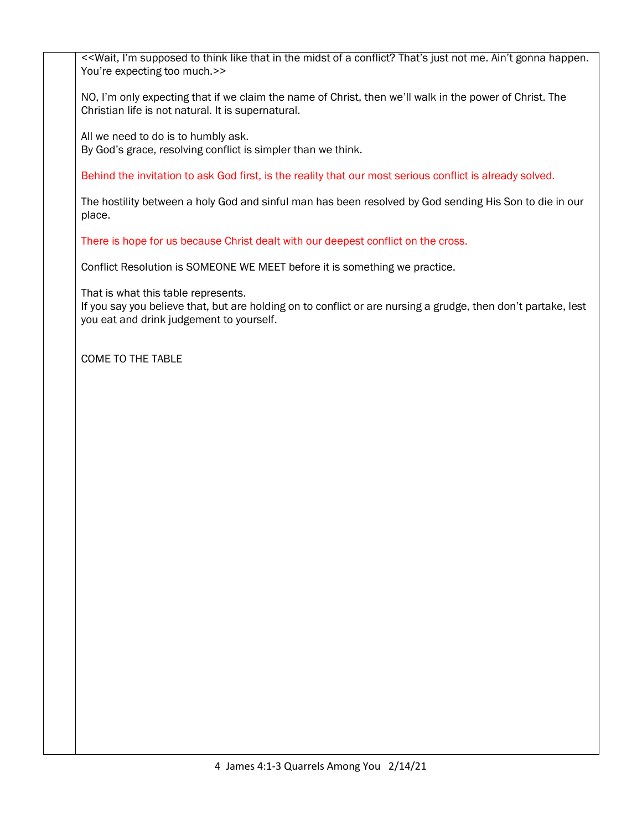<<Wait, I'm supposed to think like that in the midst of a conflict? That's just not me. Ain't gonna happen. You're expecting too much.>>

NO, I'm only expecting that if we claim the name of Christ, then we'll walk in the power of Christ. The Christian life is not natural. It is supernatural.

All we need to do is to humbly ask. By God's grace, resolving conflict is simpler than we think.

Behind the invitation to ask God first, is the reality that our most serious conflict is already solved.

The hostility between a holy God and sinful man has been resolved by God sending His Son to die in our place.

There is hope for us because Christ dealt with our deepest conflict on the cross.

Conflict Resolution is SOMEONE WE MEET before it is something we practice.

That is what this table represents.

If you say you believe that, but are holding on to conflict or are nursing a grudge, then don't partake, lest you eat and drink judgement to yourself.

COME TO THE TABLE